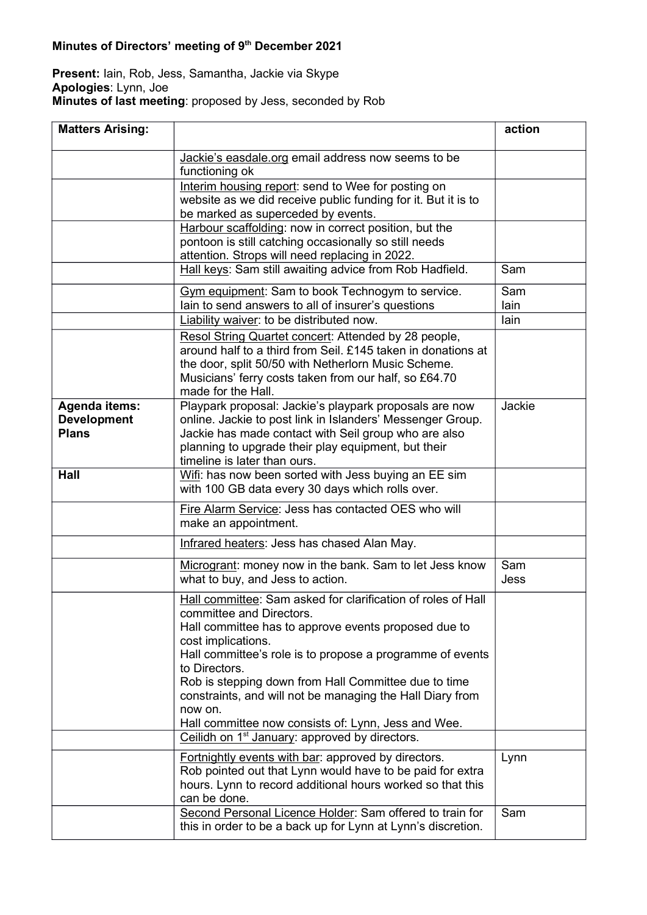## Minutes of Directors' meeting of 9th December 2021

## Present: Iain, Rob, Jess, Samantha, Jackie via Skype Apologies: Lynn, Joe Minutes of last meeting: proposed by Jess, seconded by Rob

| <b>Matters Arising:</b>                                    |                                                                                                                                                                                                                                                                                                                                                                                                                                             | action      |
|------------------------------------------------------------|---------------------------------------------------------------------------------------------------------------------------------------------------------------------------------------------------------------------------------------------------------------------------------------------------------------------------------------------------------------------------------------------------------------------------------------------|-------------|
|                                                            | Jackie's easdale.org email address now seems to be<br>functioning ok                                                                                                                                                                                                                                                                                                                                                                        |             |
|                                                            | Interim housing report: send to Wee for posting on<br>website as we did receive public funding for it. But it is to<br>be marked as superceded by events.                                                                                                                                                                                                                                                                                   |             |
|                                                            | Harbour scaffolding: now in correct position, but the<br>pontoon is still catching occasionally so still needs<br>attention. Strops will need replacing in 2022.                                                                                                                                                                                                                                                                            |             |
|                                                            | Hall keys: Sam still awaiting advice from Rob Hadfield.                                                                                                                                                                                                                                                                                                                                                                                     | Sam         |
|                                                            | Gym equipment: Sam to book Technogym to service.<br>lain to send answers to all of insurer's questions                                                                                                                                                                                                                                                                                                                                      | Sam<br>lain |
|                                                            | Liability waiver: to be distributed now.                                                                                                                                                                                                                                                                                                                                                                                                    | lain        |
|                                                            | Resol String Quartet concert: Attended by 28 people,<br>around half to a third from Seil. £145 taken in donations at<br>the door, split 50/50 with Netherlorn Music Scheme.<br>Musicians' ferry costs taken from our half, so £64.70<br>made for the Hall.                                                                                                                                                                                  |             |
| <b>Agenda items:</b><br><b>Development</b><br><b>Plans</b> | Playpark proposal: Jackie's playpark proposals are now<br>online. Jackie to post link in Islanders' Messenger Group.<br>Jackie has made contact with Seil group who are also<br>planning to upgrade their play equipment, but their<br>timeline is later than ours.                                                                                                                                                                         | Jackie      |
| Hall                                                       | Wifi: has now been sorted with Jess buying an EE sim<br>with 100 GB data every 30 days which rolls over.                                                                                                                                                                                                                                                                                                                                    |             |
|                                                            | Fire Alarm Service: Jess has contacted OES who will<br>make an appointment.                                                                                                                                                                                                                                                                                                                                                                 |             |
|                                                            | Infrared heaters: Jess has chased Alan May.                                                                                                                                                                                                                                                                                                                                                                                                 |             |
|                                                            | Microgrant: money now in the bank. Sam to let Jess know<br>what to buy, and Jess to action.                                                                                                                                                                                                                                                                                                                                                 | Sam<br>Jess |
|                                                            | Hall committee: Sam asked for clarification of roles of Hall<br>committee and Directors.<br>Hall committee has to approve events proposed due to<br>cost implications.<br>Hall committee's role is to propose a programme of events<br>to Directors.<br>Rob is stepping down from Hall Committee due to time<br>constraints, and will not be managing the Hall Diary from<br>now on.<br>Hall committee now consists of: Lynn, Jess and Wee. |             |
|                                                            | Ceilidh on 1 <sup>st</sup> January: approved by directors.                                                                                                                                                                                                                                                                                                                                                                                  |             |
|                                                            | Fortnightly events with bar: approved by directors.<br>Rob pointed out that Lynn would have to be paid for extra<br>hours. Lynn to record additional hours worked so that this<br>can be done.                                                                                                                                                                                                                                              | Lynn        |
|                                                            | Second Personal Licence Holder: Sam offered to train for<br>this in order to be a back up for Lynn at Lynn's discretion.                                                                                                                                                                                                                                                                                                                    | Sam         |